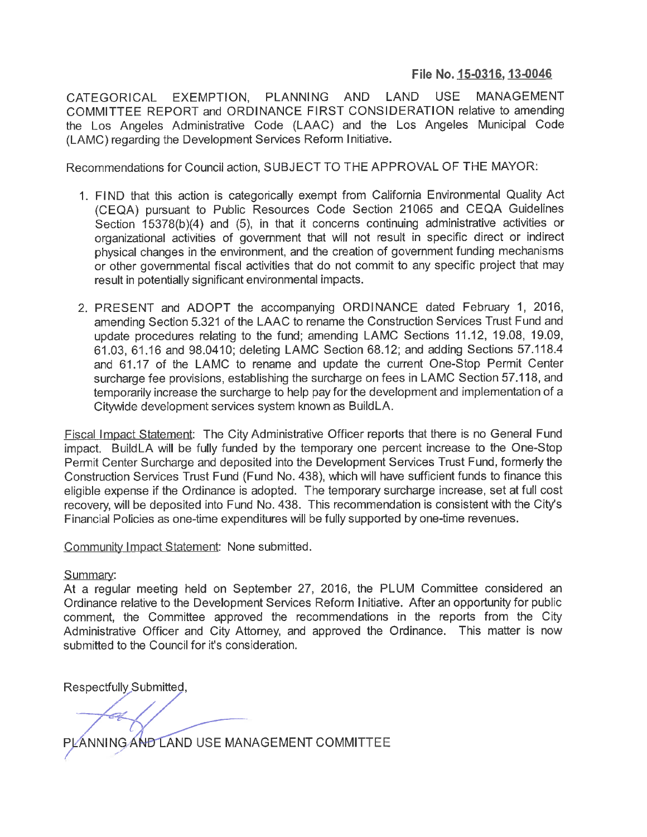## **File No. 15-0316, 13-0046**

CATEGORICAL EXEMPTION, PLANNING AND LAND USE MANAGEMENT COMMITTEE REPORT and ORDINANCE FIRST CONSIDERATION relative to amending the Los Angeles Administrative Code (LAAC) and the Los Angeles Municipal Code (LAMC) regarding the Development Services Reform Initiative.

Recommendations for Council action, SUBJECT TO THE APPROVAL OF THE MAYOR

- 1. Fl NO that this action is categorically exempt from California Environmental Quality Act (CEQA) pursuant to Public Resources Code Section 21065 and CEQA Guidelines Section 15378(b)(4) and (5), in that it concerns continuing administrative activities or organizational activities of government that will not result in specific direct or indirect physical changes in the environment, and the creation of government funding mechanisms or other governmental fiscal activities that do not commit to any specific project that may result in potentially significant environmental impacts.
- 2. PRESENT and ADOPT the accompanying ORDINANCE dated February 1, 2016, amending Section 5.321 of the LAAC to rename the Construction Services Trust Fund and update procedures relating to the fund; amending LAMC Sections 11.12, 19.08, 19.09, 61.03, 61.16 and 98.041 0; deleting LAMC Section 68.12; and adding Sections 57.118.4 and 61.17 of the LAMC to rename and update the current One-Stop Permit Center surcharge fee provisions, establishing the surcharge on fees in LAMC Section 57.118, and temporarily increase the surcharge to help pay for the development and implementation of <sup>a</sup> Citywide development services system known as BuildLA.

Fiscal Impact Statement: The City Administrative Officer reports that there is no General Fund impact. BuildLA will be fully funded by the temporary one percent increase to the One-Stop Permit Center Surcharge and deposited into the Development Services Trust Fund, formerly the Construction Services Trust Fund (Fund No. 438), which will have sufficient funds to finance this eligible expense if the Ordinance is adopted. The temporary surcharge increase, set at full cost recovery, will be deposited into Fund No. 438. This recommendation is consistent with the City's Financial Policies as one-time expenditures will be fully supported by one-time revenues.

Community Impact Statement: None submitted.

## Summary:

At a regular meeting held on September 27, 2016, the PLUM Committee considered an Ordinance relative to the Development Services Reform Initiative. After an opportunity for public comment, the Committee approved the recommendations in the reports from the City Administrative Officer and City Attorney, and approved the Ordinance. This matter is now submitted to the Council for it's consideration.

Respectfully Submitted,

ANNING AND LAND USE MANAGEMENT COMMITTEE